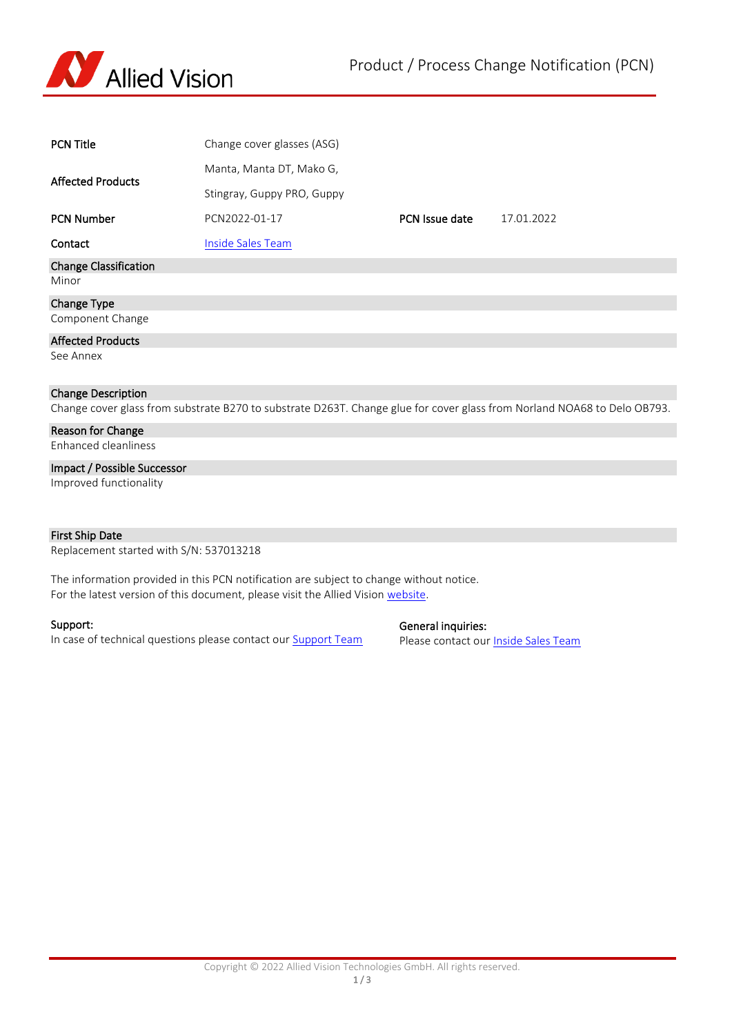

| <b>PCN Title</b>                      | Change cover glasses (ASG)                                                                                               |                |            |  |  |  |
|---------------------------------------|--------------------------------------------------------------------------------------------------------------------------|----------------|------------|--|--|--|
| <b>Affected Products</b>              | Manta, Manta DT, Mako G,                                                                                                 |                |            |  |  |  |
|                                       | Stingray, Guppy PRO, Guppy                                                                                               |                |            |  |  |  |
| <b>PCN Number</b>                     | PCN2022-01-17                                                                                                            | PCN Issue date | 17.01.2022 |  |  |  |
| Contact                               | <b>Inside Sales Team</b>                                                                                                 |                |            |  |  |  |
| <b>Change Classification</b><br>Minor |                                                                                                                          |                |            |  |  |  |
| Change Type                           |                                                                                                                          |                |            |  |  |  |
| Component Change                      |                                                                                                                          |                |            |  |  |  |
| <b>Affected Products</b>              |                                                                                                                          |                |            |  |  |  |
| See Annex                             |                                                                                                                          |                |            |  |  |  |
| <b>Change Description</b>             |                                                                                                                          |                |            |  |  |  |
|                                       | Change cover glass from substrate B270 to substrate D263T. Change glue for cover glass from Norland NOA68 to Delo OB793. |                |            |  |  |  |
| Reason for Change                     |                                                                                                                          |                |            |  |  |  |
| Enhanced cleanliness                  |                                                                                                                          |                |            |  |  |  |
| Impact / Possible Successor           |                                                                                                                          |                |            |  |  |  |
| Improved functionality                |                                                                                                                          |                |            |  |  |  |

## First Ship Date

Replacement started with S/N: 537013218

The information provided in this PCN notification are subject to change without notice. For the latest version of this document, please visit the Allied Vision [website.](https://www.alliedvision.com/en/support/product-change-notifications.html)

## Support:

In case of technical questions please contact our **Support Team** 

## General inquiries:

Please contact our **Inside Sales Team**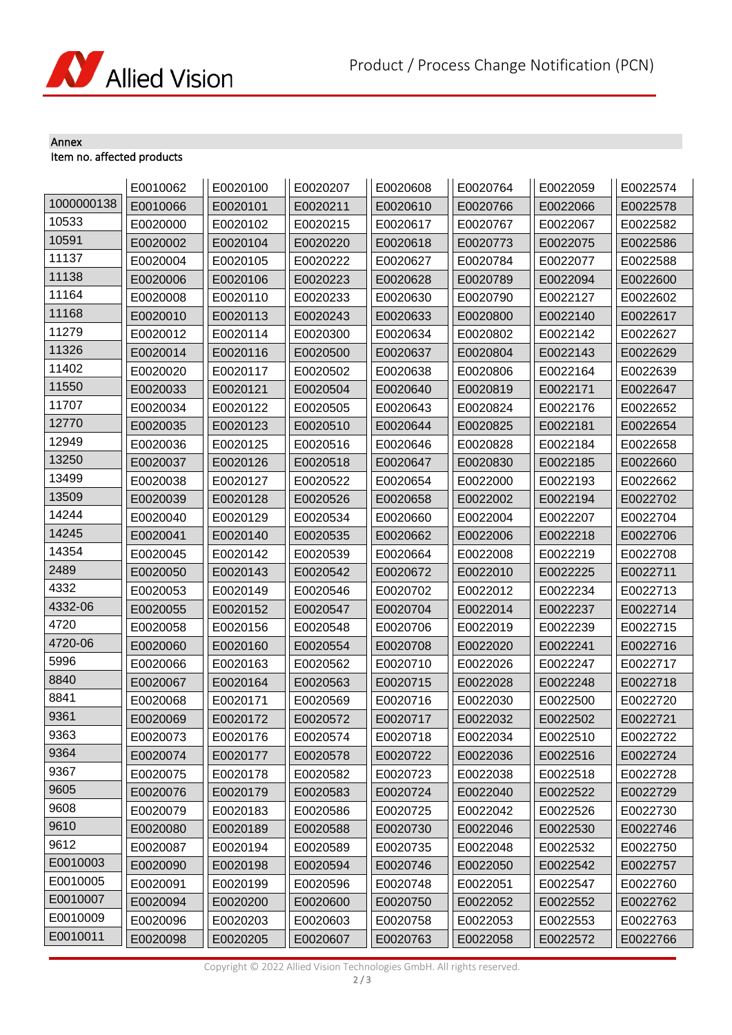

## Annex Item no. affected products

|            | E0010062 | E0020100 | E0020207 | E0020608 | E0020764 | E0022059 | E0022574 |
|------------|----------|----------|----------|----------|----------|----------|----------|
| 1000000138 | E0010066 | E0020101 | E0020211 | E0020610 | E0020766 | E0022066 | E0022578 |
| 10533      | E0020000 | E0020102 | E0020215 | E0020617 | E0020767 | E0022067 | E0022582 |
| 10591      | E0020002 | E0020104 | E0020220 | E0020618 | E0020773 | E0022075 | E0022586 |
| 11137      | E0020004 | E0020105 | E0020222 | E0020627 | E0020784 | E0022077 | E0022588 |
| 11138      | E0020006 | E0020106 | E0020223 | E0020628 | E0020789 | E0022094 | E0022600 |
| 11164      | E0020008 | E0020110 | E0020233 | E0020630 | E0020790 | E0022127 | E0022602 |
| 11168      | E0020010 | E0020113 | E0020243 | E0020633 | E0020800 | E0022140 | E0022617 |
| 11279      | E0020012 | E0020114 | E0020300 | E0020634 | E0020802 | E0022142 | E0022627 |
| 11326      | E0020014 | E0020116 | E0020500 | E0020637 | E0020804 | E0022143 | E0022629 |
| 11402      | E0020020 | E0020117 | E0020502 | E0020638 | E0020806 | E0022164 | E0022639 |
| 11550      | E0020033 | E0020121 | E0020504 | E0020640 | E0020819 | E0022171 | E0022647 |
| 11707      | E0020034 | E0020122 | E0020505 | E0020643 | E0020824 | E0022176 | E0022652 |
| 12770      | E0020035 | E0020123 | E0020510 | E0020644 | E0020825 | E0022181 | E0022654 |
| 12949      | E0020036 | E0020125 | E0020516 | E0020646 | E0020828 | E0022184 | E0022658 |
| 13250      | E0020037 | E0020126 | E0020518 | E0020647 | E0020830 | E0022185 | E0022660 |
| 13499      | E0020038 | E0020127 | E0020522 | E0020654 | E0022000 | E0022193 | E0022662 |
| 13509      | E0020039 | E0020128 | E0020526 | E0020658 | E0022002 | E0022194 | E0022702 |
| 14244      | E0020040 | E0020129 | E0020534 | E0020660 | E0022004 | E0022207 | E0022704 |
| 14245      | E0020041 | E0020140 | E0020535 | E0020662 | E0022006 | E0022218 | E0022706 |
| 14354      | E0020045 | E0020142 | E0020539 | E0020664 | E0022008 | E0022219 | E0022708 |
| 2489       | E0020050 | E0020143 | E0020542 | E0020672 | E0022010 | E0022225 | E0022711 |
| 4332       | E0020053 | E0020149 | E0020546 | E0020702 | E0022012 | E0022234 | E0022713 |
| 4332-06    | E0020055 | E0020152 | E0020547 | E0020704 | E0022014 | E0022237 | E0022714 |
| 4720       | E0020058 | E0020156 | E0020548 | E0020706 | E0022019 | E0022239 | E0022715 |
| 4720-06    | E0020060 | E0020160 | E0020554 | E0020708 | E0022020 | E0022241 | E0022716 |
| 5996       | E0020066 | E0020163 | E0020562 | E0020710 | E0022026 | E0022247 | E0022717 |
| 8840       | E0020067 | E0020164 | E0020563 | E0020715 | E0022028 | E0022248 | E0022718 |
| 8841       | E0020068 | E0020171 | E0020569 | E0020716 | E0022030 | E0022500 | E0022720 |
| 9361       | E0020069 | E0020172 | E0020572 | E0020717 | E0022032 | E0022502 | E0022721 |
| 9363       | E0020073 | E0020176 | E0020574 | E0020718 | E0022034 | E0022510 | E0022722 |
| 9364       | E0020074 | E0020177 | E0020578 | E0020722 | E0022036 | E0022516 | E0022724 |
| 9367       | E0020075 | E0020178 | E0020582 | E0020723 | E0022038 | E0022518 | E0022728 |
| 9605       | E0020076 | E0020179 | E0020583 | E0020724 | E0022040 | E0022522 | E0022729 |
| 9608       | E0020079 | E0020183 | E0020586 | E0020725 | E0022042 | E0022526 | E0022730 |
| 9610       | E0020080 | E0020189 | E0020588 | E0020730 | E0022046 | E0022530 | E0022746 |
| 9612       | E0020087 | E0020194 | E0020589 | E0020735 | E0022048 | E0022532 | E0022750 |
| E0010003   | E0020090 | E0020198 | E0020594 | E0020746 | E0022050 | E0022542 | E0022757 |
| E0010005   | E0020091 | E0020199 | E0020596 | E0020748 | E0022051 | E0022547 | E0022760 |
| E0010007   | E0020094 | E0020200 | E0020600 | E0020750 | E0022052 | E0022552 | E0022762 |
| E0010009   | E0020096 | E0020203 | E0020603 | E0020758 | E0022053 | E0022553 | E0022763 |
| E0010011   | E0020098 | E0020205 | E0020607 | E0020763 | E0022058 | E0022572 | E0022766 |

Copyright © 2022 Allied Vision Technologies GmbH. All rights reserved.